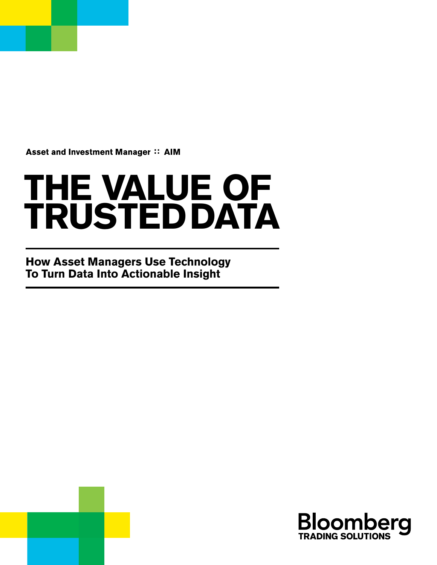Asset and Investment Manager :: AIM

# **THE VALUE OF TRUSTED DATA**

**How Asset Managers Use Technology To Turn Data Into Actionable Insight**

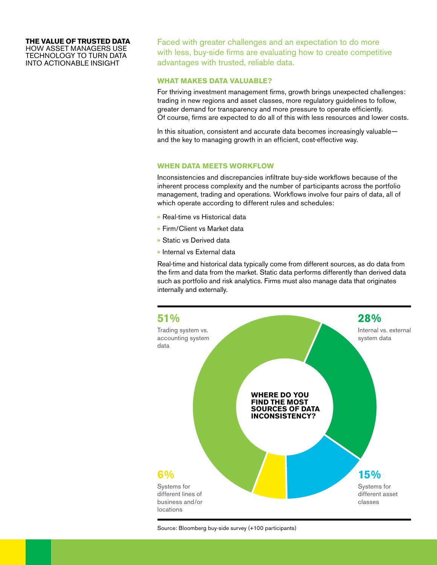## **THE VALUE OF TRUSTED DATA**

HOW ASSET MANAGERS USE TECHNOLOGY TO TURN DATA INTO ACTIONABLE INSIGHT

Faced with greater challenges and an expectation to do more with less, buy-side firms are evaluating how to create competitive advantages with trusted, reliable data.

#### **WHAT MAKES DATA VALUABLE?**

For thriving investment management firms, growth brings unexpected challenges: trading in new regions and asset classes, more regulatory guidelines to follow, greater demand for transparency and more pressure to operate efficiently. Of course, firms are expected to do all of this with less resources and lower costs.

In this situation, consistent and accurate data becomes increasingly valuable and the key to managing growth in an efficient, cost-effective way.

#### **WHEN DATA MEETS WORKFLOW**

Inconsistencies and discrepancies infiltrate buy-side workflows because of the inherent process complexity and the number of participants across the portfolio management, trading and operations. Workflows involve four pairs of data, all of which operate according to different rules and schedules:

- **»** Real-time vs Historical data
- **»** Firm/Client vs Market data
- **»** Static vs Derived data
- **»** Internal vs External data

Real-time and historical data typically come from different sources, as do data from the firm and data from the market. Static data performs differently than derived data such as portfolio and risk analytics. Firms must also manage data that originates internally and externally.



Source: Bloomberg buy-side survey (+100 participants)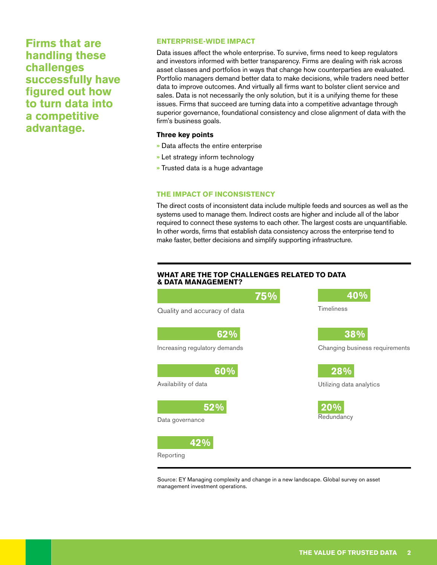**Firms that are handling these challenges successfully have figured out how to turn data into a competitive advantage.**

#### **ENTERPRISE-WIDE IMPACT**

Data issues affect the whole enterprise. To survive, firms need to keep regulators and investors informed with better transparency. Firms are dealing with risk across asset classes and portfolios in ways that change how counterparties are evaluated. Portfolio managers demand better data to make decisions, while traders need better data to improve outcomes. And virtually all firms want to bolster client service and sales. Data is not necessarily the only solution, but it is a unifying theme for these issues. Firms that succeed are turning data into a competitive advantage through superior governance, foundational consistency and close alignment of data with the firm's business goals.

#### **Three key points**

- **»** Data affects the entire enterprise
- **»** Let strategy inform technology
- **»** Trusted data is a huge advantage

#### **THE IMPACT OF INCONSISTENCY**

The direct costs of inconsistent data include multiple feeds and sources as well as the systems used to manage them. Indirect costs are higher and include all of the labor required to connect these systems to each other. The largest costs are unquantifiable. In other words, firms that establish data consistency across the enterprise tend to make faster, better decisions and simplify supporting infrastructure.

#### **WHAT ARE THE TOP CHALLENGES RELATED TO DATA & DATA MANAGEMENT?**



Source: EY Managing complexity and change in a new landscape. Global survey on asset management investment operations.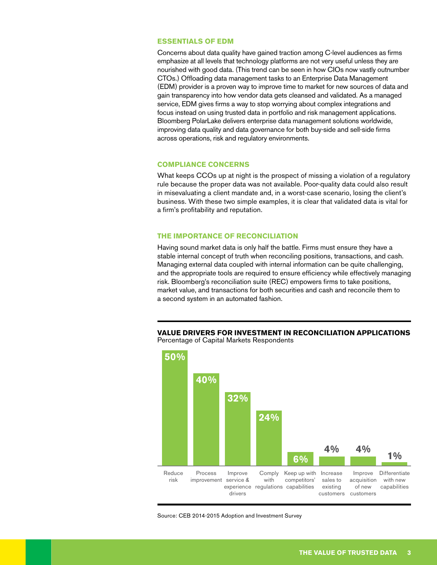#### **ESSENTIALS OF EDM**

Concerns about data quality have gained traction among C-level audiences as firms emphasize at all levels that technology platforms are not very useful unless they are nourished with good data. (This trend can be seen in how CIOs now vastly outnumber CTOs.) Offloading data management tasks to an Enterprise Data Management (EDM) provider is a proven way to improve time to market for new sources of data and gain transparency into how vendor data gets cleansed and validated. As a managed service, EDM gives firms a way to stop worrying about complex integrations and focus instead on using trusted data in portfolio and risk management applications. Bloomberg PolarLake delivers enterprise data management solutions worldwide, improving data quality and data governance for both buy-side and sell-side firms across operations, risk and regulatory environments.

#### **COMPLIANCE CONCERNS**

What keeps CCOs up at night is the prospect of missing a violation of a regulatory rule because the proper data was not available. Poor-quality data could also result in misevaluating a client mandate and, in a worst-case scenario, losing the client's business. With these two simple examples, it is clear that validated data is vital for a firm's profitability and reputation.

#### **THE IMPORTANCE OF RECONCILIATION**

Having sound market data is only half the battle. Firms must ensure they have a stable internal concept of truth when reconciling positions, transactions, and cash. Managing external data coupled with internal information can be quite challenging, and the appropriate tools are required to ensure efficiency while effectively managing risk. Bloomberg's reconciliation suite (REC) empowers firms to take positions, market value, and transactions for both securities and cash and reconcile them to a second system in an automated fashion.





Source: CEB 2014-2015 Adoption and Investment Survey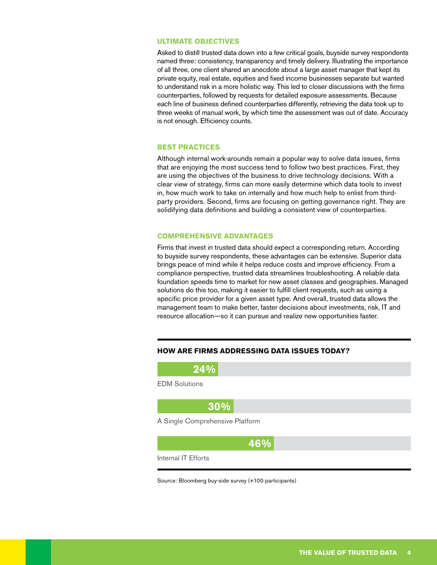#### **ULTIMATE OBJECTIVES**

Asked to distill trusted data down into a few critical goals, buyside survey respondents named three: consistency, transparency and timely delivery. Illustrating the importance of all three, one client shared an anecdote about a large asset manager that kept its private equity, real estate, equities and fixed income businesses separate but wanted to understand risk in a more holistic way. This led to closer discussions with the firms counterparties, followed by requests for detailed exposure assessments. Because each line of business defined counterparties differently, retrieving the data took up to three weeks of manual work, by which time the assessment was out of date. Accuracy is not enough. Efficiency counts.

#### **BEST PRACTICES**

Although internal work-arounds remain a popular way to solve data issues, firms that are enjoying the most success tend to follow two best practices. First, they are using the objectives of the business to drive technology decisions. With a clear view of strategy, firms can more easily determine which data tools to invest in, how much work to take on internally and how much help to enlist from thirdparty providers. Second, firms are focusing on getting governance right. They are solidifying data definitions and building a consistent view of counterparties.

#### **COMPREHENSIVE ADVANTAGES**

Firms that invest in trusted data should expect a corresponding return. According to buyside survey respondents, these advantages can be extensive. Superior data brings peace of mind while it helps reduce costs and improve efficiency. From a compliance perspective, trusted data streamlines troubleshooting. A reliable data foundation speeds time to market for new asset classes and geographies. Managed solutions do this too, making it easier to fulfill client requests, such as using a specific price provider for a given asset type. And overall, trusted data allows the management team to make better, faster decisions about investments, risk, IT and resource allocation—so it can pursue and realize new opportunities faster.

#### **HOW ARE FIRMS ADDRESSING DATA ISSUES TODAY?**

**24%**

EDM Solutions

**30%**

A Single Comprehensive Platform



Internal IT Efforts

Source: Bloomberg buy-side survey (+100 participants)